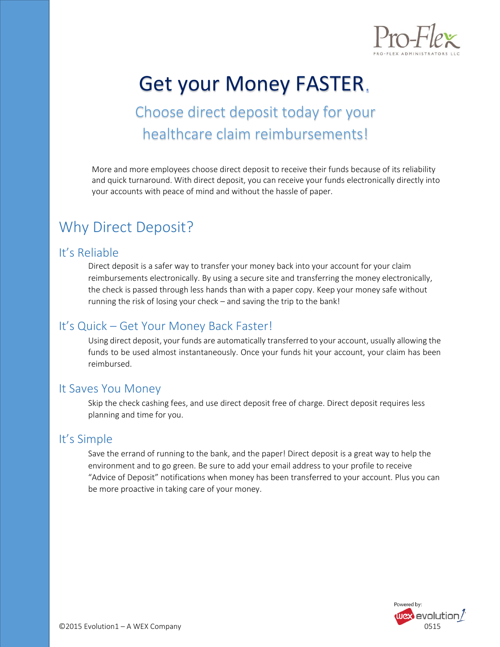

# Get your Money FASTER

Choose direct deposit today for your healthcare claim reimbursements!

More and more employees choose direct deposit to receive their funds because of its reliability and quick turnaround. With direct deposit, you can receive your funds electronically directly into your accounts with peace of mind and without the hassle of paper.

### Why Direct Deposit?

#### It's Reliable

Direct deposit is a safer way to transfer your money back into your account for your claim reimbursements electronically. By using a secure site and transferring the money electronically, the check is passed through less hands than with a paper copy. Keep your money safe without running the risk of losing your check – and saving the trip to the bank!

#### It's Quick – Get Your Money Back Faster!

Using direct deposit, your funds are automatically transferred to your account, usually allowing the funds to be used almost instantaneously. Once your funds hit your account, your claim has been reimbursed.

#### It Saves You Money

Skip the check cashing fees, and use direct deposit free of charge. Direct deposit requires less planning and time for you.

#### It's Simple

Save the errand of running to the bank, and the paper! Direct deposit is a great way to help the environment and to go green. Be sure to add your email address to your profile to receive "Advice of Deposit" notifications when money has been transferred to your account. Plus you can be more proactive in taking care of your money.